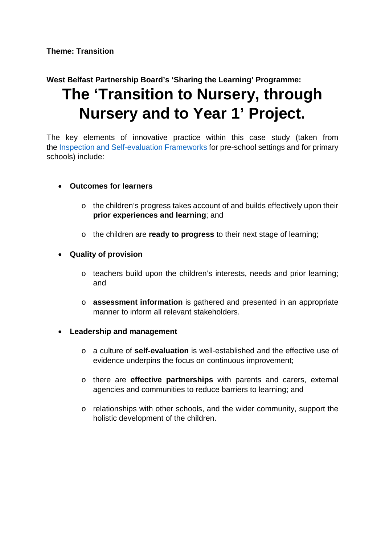## **West Belfast Partnership Board's 'Sharing the Learning' Programme: The 'Transition to Nursery, through Nursery and to Year 1' Project.**

The key elements of innovative practice within this case study (taken from the [Inspection and Self-evaluation Frameworks](https://www.etini.gov.uk/articles/inspection-and-self-evaluation-framework-isef) for pre-school settings and for primary schools) include:

- **Outcomes for learners**
	- o the children's progress takes account of and builds effectively upon their **prior experiences and learning**; and
	- o the children are **ready to progress** to their next stage of learning;
- **Quality of provision**
	- o teachers build upon the children's interests, needs and prior learning; and
	- o **assessment information** is gathered and presented in an appropriate manner to inform all relevant stakeholders.
- **Leadership and management**
	- o a culture of **self-evaluation** is well-established and the effective use of evidence underpins the focus on continuous improvement;
	- o there are **effective partnerships** with parents and carers, external agencies and communities to reduce barriers to learning; and
	- o relationships with other schools, and the wider community, support the holistic development of the children.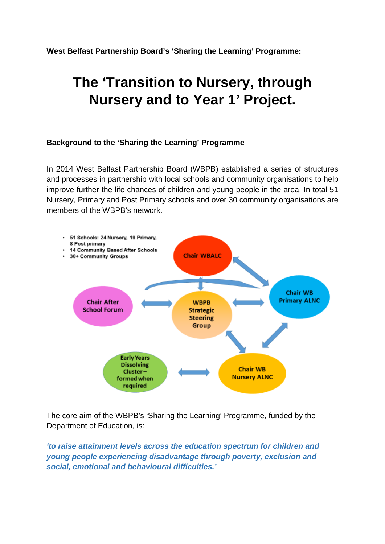**West Belfast Partnership Board's 'Sharing the Learning' Programme:**

# **The 'Transition to Nursery, through Nursery and to Year 1' Project.**

#### **Background to the 'Sharing the Learning' Programme**

In 2014 West Belfast Partnership Board (WBPB) established a series of structures and processes in partnership with local schools and community organisations to help improve further the life chances of children and young people in the area. In total 51 Nursery, Primary and Post Primary schools and over 30 community organisations are members of the WBPB's network.



The core aim of the WBPB's 'Sharing the Learning' Programme, funded by the Department of Education, is:

*'to raise attainment levels across the education spectrum for children and young people experiencing disadvantage through poverty, exclusion and social, emotional and behavioural difficulties.'*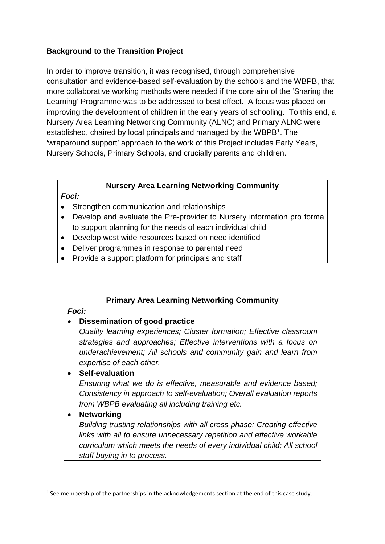## **Background to the Transition Project**

In order to improve transition, it was recognised, through comprehensive consultation and evidence-based self-evaluation by the schools and the WBPB, that more collaborative working methods were needed if the core aim of the 'Sharing the Learning' Programme was to be addressed to best effect. A focus was placed on improving the development of children in the early years of schooling. To this end, a Nursery Area Learning Networking Community (ALNC) and Primary ALNC were established, chaired by local principals and managed by the WBPB[1](#page-2-0). The 'wraparound support' approach to the work of this Project includes Early Years, Nursery Schools, Primary Schools, and crucially parents and children.

#### **Nursery Area Learning Networking Community**

#### *Foci:*

- Strengthen communication and relationships
- Develop and evaluate the Pre-provider to Nursery information pro forma to support planning for the needs of each individual child
- Develop west wide resources based on need identified
- Deliver programmes in response to parental need
- Provide a support platform for principals and staff

#### **Primary Area Learning Networking Community**

#### *Foci:*

## • **Dissemination of good practice**

*Quality learning experiences; Cluster formation; Effective classroom strategies and approaches; Effective interventions with a focus on underachievement; All schools and community gain and learn from expertise of each other.*

## • **Self-evaluation**

*Ensuring what we do is effective, measurable and evidence based; Consistency in approach to self-evaluation; Overall evaluation reports from WBPB evaluating all including training etc.*

#### • **Networking**

*Building trusting relationships with all cross phase; Creating effective links with all to ensure unnecessary repetition and effective workable curriculum which meets the needs of every individual child; All school staff buying in to process.*

<span id="page-2-0"></span> $1$  See membership of the partnerships in the acknowledgements section at the end of this case study.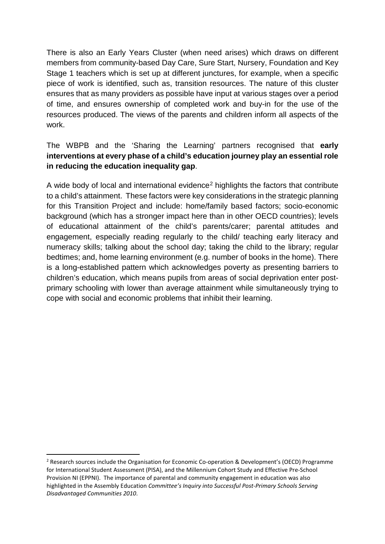There is also an Early Years Cluster (when need arises) which draws on different members from community-based Day Care, Sure Start, Nursery, Foundation and Key Stage 1 teachers which is set up at different junctures, for example, when a specific piece of work is identified, such as, transition resources. The nature of this cluster ensures that as many providers as possible have input at various stages over a period of time, and ensures ownership of completed work and buy-in for the use of the resources produced. The views of the parents and children inform all aspects of the work.

## The WBPB and the 'Sharing the Learning' partners recognised that **early interventions at every phase of a child's education journey play an essential role in reducing the education inequality gap**.

A wide body of local and international evidence<sup>[2](#page-3-0)</sup> highlights the factors that contribute to a child's attainment. These factors were key considerations in the strategic planning for this Transition Project and include: home/family based factors; socio-economic background (which has a stronger impact here than in other OECD countries); levels of educational attainment of the child's parents/carer; parental attitudes and engagement, especially reading regularly to the child/ teaching early literacy and numeracy skills; talking about the school day; taking the child to the library; regular bedtimes; and, home learning environment (e.g. number of books in the home). There is a long-established pattern which acknowledges poverty as presenting barriers to children's education, which means pupils from areas of social deprivation enter postprimary schooling with lower than average attainment while simultaneously trying to cope with social and economic problems that inhibit their learning.

<span id="page-3-0"></span><sup>&</sup>lt;sup>2</sup> Research sources include the Organisation for Economic Co-operation & Development's (OECD) Programme for International Student Assessment (PISA), and the Millennium Cohort Study and Effective Pre-School Provision NI (EPPNI). The importance of parental and community engagement in education was also highlighted in the Assembly Education *Committee's Inquiry into Successful Post-Primary Schools Serving Disadvantaged Communities 2010*.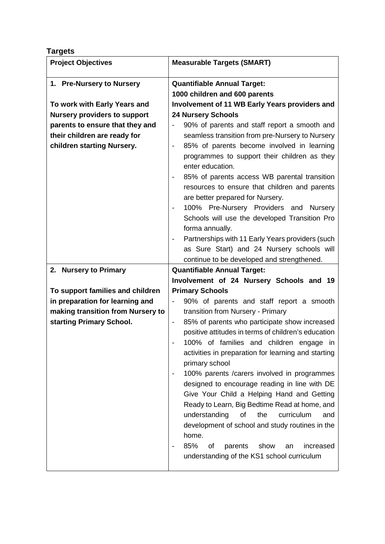| Targets                                                                                          |                                                                                                                                                                                                                                                                                                                                                                                                                                                                                                                                                                                                                                                                                                 |  |  |  |
|--------------------------------------------------------------------------------------------------|-------------------------------------------------------------------------------------------------------------------------------------------------------------------------------------------------------------------------------------------------------------------------------------------------------------------------------------------------------------------------------------------------------------------------------------------------------------------------------------------------------------------------------------------------------------------------------------------------------------------------------------------------------------------------------------------------|--|--|--|
| <b>Project Objectives</b>                                                                        | <b>Measurable Targets (SMART)</b>                                                                                                                                                                                                                                                                                                                                                                                                                                                                                                                                                                                                                                                               |  |  |  |
| 1. Pre-Nursery to Nursery<br>To work with Early Years and<br><b>Nursery providers to support</b> | <b>Quantifiable Annual Target:</b><br>1000 children and 600 parents<br>Involvement of 11 WB Early Years providers and<br><b>24 Nursery Schools</b>                                                                                                                                                                                                                                                                                                                                                                                                                                                                                                                                              |  |  |  |
| parents to ensure that they and<br>their children are ready for<br>children starting Nursery.    | 90% of parents and staff report a smooth and<br>seamless transition from pre-Nursery to Nursery<br>85% of parents become involved in learning<br>$\qquad \qquad \blacksquare$<br>programmes to support their children as they<br>enter education.<br>85% of parents access WB parental transition<br>resources to ensure that children and parents<br>are better prepared for Nursery.<br>100% Pre-Nursery Providers and Nursery<br>$\overline{\phantom{a}}$<br>Schools will use the developed Transition Pro<br>forma annually.<br>Partnerships with 11 Early Years providers (such<br>as Sure Start) and 24 Nursery schools will                                                              |  |  |  |
| 2. Nursery to Primary                                                                            | continue to be developed and strengthened.<br><b>Quantifiable Annual Target:</b>                                                                                                                                                                                                                                                                                                                                                                                                                                                                                                                                                                                                                |  |  |  |
|                                                                                                  | Involvement of 24 Nursery Schools and 19                                                                                                                                                                                                                                                                                                                                                                                                                                                                                                                                                                                                                                                        |  |  |  |
| To support families and children                                                                 | <b>Primary Schools</b>                                                                                                                                                                                                                                                                                                                                                                                                                                                                                                                                                                                                                                                                          |  |  |  |
| in preparation for learning and                                                                  | 90% of parents and staff report a smooth                                                                                                                                                                                                                                                                                                                                                                                                                                                                                                                                                                                                                                                        |  |  |  |
| making transition from Nursery to                                                                | transition from Nursery - Primary                                                                                                                                                                                                                                                                                                                                                                                                                                                                                                                                                                                                                                                               |  |  |  |
| starting Primary School.                                                                         | 85% of parents who participate show increased<br>$\overline{\phantom{0}}$<br>positive attitudes in terms of children's education<br>100% of families and children engage in<br>activities in preparation for learning and starting<br>primary school<br>100% parents /carers involved in programmes<br>$\overline{\phantom{a}}$<br>designed to encourage reading in line with DE<br>Give Your Child a Helping Hand and Getting<br>Ready to Learn, Big Bedtime Read at home, and<br>understanding<br>of<br>the<br>curriculum<br>and<br>development of school and study routines in the<br>home.<br>85%<br>parents<br>οf<br>show<br>increased<br>an<br>understanding of the KS1 school curriculum |  |  |  |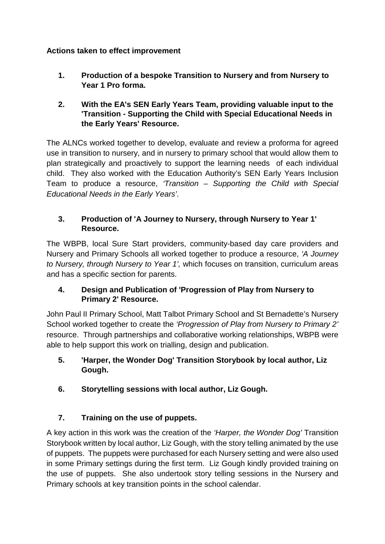#### **Actions taken to effect improvement**

- **1. Production of a bespoke Transition to Nursery and from Nursery to Year 1 Pro forma.**
- **2. With the EA's SEN Early Years Team, providing valuable input to the 'Transition - Supporting the Child with Special Educational Needs in the Early Years' Resource.**

The ALNCs worked together to develop, evaluate and review a proforma for agreed use in transition to nursery, and in nursery to primary school that would allow them to plan strategically and proactively to support the learning needs of each individual child. They also worked with the Education Authority's SEN Early Years Inclusion Team to produce a resource, *'Transition – Supporting the Child with Special Educational Needs in the Early Years'*.

## **3. Production of 'A Journey to Nursery, through Nursery to Year 1' Resource.**

The WBPB, local Sure Start providers, community-based day care providers and Nursery and Primary Schools all worked together to produce a resource, *'A Journey to Nursery, through Nursery to Year 1',* which focuses on transition, curriculum areas and has a specific section for parents.

#### **4. Design and Publication of 'Progression of Play from Nursery to Primary 2' Resource.**

John Paul II Primary School, Matt Talbot Primary School and St Bernadette's Nursery School worked together to create the *'Progression of Play from Nursery to Primary 2'* resource. Through partnerships and collaborative working relationships, WBPB were able to help support this work on trialling, design and publication.

- **5. 'Harper, the Wonder Dog' Transition Storybook by local author, Liz Gough.**
- **6. Storytelling sessions with local author, Liz Gough.**

## **7. Training on the use of puppets.**

A key action in this work was the creation of the *'Harper, the Wonder Dog'* Transition Storybook written by local author, Liz Gough, with the story telling animated by the use of puppets. The puppets were purchased for each Nursery setting and were also used in some Primary settings during the first term. Liz Gough kindly provided training on the use of puppets. She also undertook story telling sessions in the Nursery and Primary schools at key transition points in the school calendar.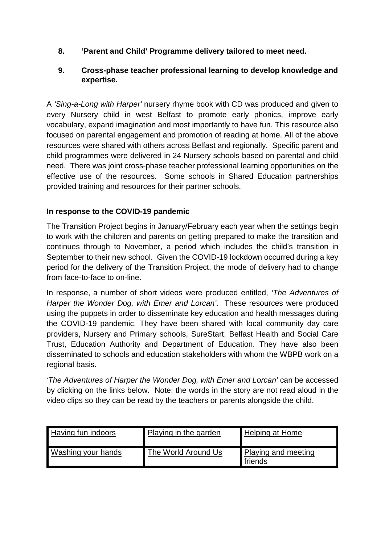## **8. 'Parent and Child' Programme delivery tailored to meet need.**

#### **9. Cross-phase teacher professional learning to develop knowledge and expertise.**

A *'Sing-a-Long with Harper'* nursery rhyme book with CD was produced and given to every Nursery child in west Belfast to promote early phonics, improve early vocabulary, expand imagination and most importantly to have fun. This resource also focused on parental engagement and promotion of reading at home. All of the above resources were shared with others across Belfast and regionally. Specific parent and child programmes were delivered in 24 Nursery schools based on parental and child need. There was joint cross-phase teacher professional learning opportunities on the effective use of the resources. Some schools in Shared Education partnerships provided training and resources for their partner schools.

#### **In response to the COVID-19 pandemic**

The Transition Project begins in January/February each year when the settings begin to work with the children and parents on getting prepared to make the transition and continues through to November, a period which includes the child's transition in September to their new school. Given the COVID-19 lockdown occurred during a key period for the delivery of the Transition Project, the mode of delivery had to change from face-to-face to on-line.

In response, a number of short videos were produced entitled, *'The Adventures of Harper the Wonder Dog, with Emer and Lorcan'*. These resources were produced using the puppets in order to disseminate key education and health messages during the COVID-19 pandemic. They have been shared with local community day care providers, Nursery and Primary schools, SureStart, Belfast Health and Social Care Trust, Education Authority and Department of Education. They have also been disseminated to schools and education stakeholders with whom the WBPB work on a regional basis.

*'The Adventures of Harper the Wonder Dog, with Emer and Lorcan'* can be accessed by clicking on the links below. Note: the words in the story are not read aloud in the video clips so they can be read by the teachers or parents alongside the child.

| <b>Having fun indoors</b> | Playing in the garden | <b>Helping at Home</b>                |
|---------------------------|-----------------------|---------------------------------------|
| Washing your hands        | The World Around Us   | <b>Playing and meeting</b><br>friends |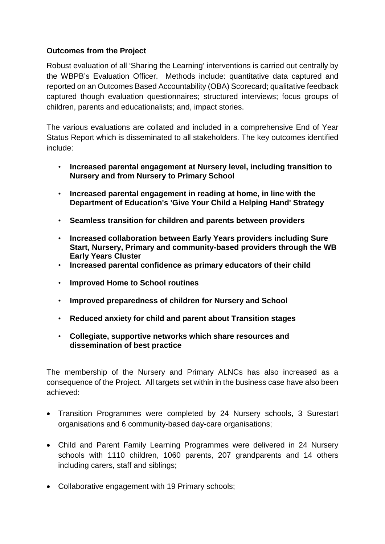#### **Outcomes from the Project**

Robust evaluation of all 'Sharing the Learning' interventions is carried out centrally by the WBPB's Evaluation Officer. Methods include: quantitative data captured and reported on an Outcomes Based Accountability (OBA) Scorecard; qualitative feedback captured though evaluation questionnaires; structured interviews; focus groups of children, parents and educationalists; and, impact stories.

The various evaluations are collated and included in a comprehensive End of Year Status Report which is disseminated to all stakeholders. The key outcomes identified include:

- **Increased parental engagement at Nursery level, including transition to Nursery and from Nursery to Primary School**
- **Increased parental engagement in reading at home, in line with the Department of Education's 'Give Your Child a Helping Hand' Strategy**
- **Seamless transition for children and parents between providers**
- **Increased collaboration between Early Years providers including Sure Start, Nursery, Primary and community-based providers through the WB Early Years Cluster**
- **Increased parental confidence as primary educators of their child**
- **Improved Home to School routines**
- **Improved preparedness of children for Nursery and School**
- **Reduced anxiety for child and parent about Transition stages**
- **Collegiate, supportive networks which share resources and dissemination of best practice**

The membership of the Nursery and Primary ALNCs has also increased as a consequence of the Project. All targets set within in the business case have also been achieved:

- Transition Programmes were completed by 24 Nursery schools, 3 Surestart organisations and 6 community-based day-care organisations;
- Child and Parent Family Learning Programmes were delivered in 24 Nursery schools with 1110 children, 1060 parents, 207 grandparents and 14 others including carers, staff and siblings;
- Collaborative engagement with 19 Primary schools;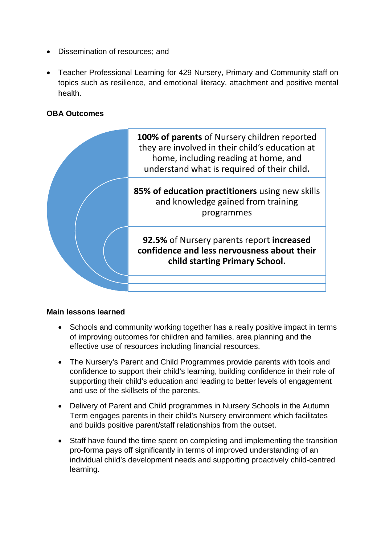- Dissemination of resources; and
- Teacher Professional Learning for 429 Nursery, Primary and Community staff on topics such as resilience, and emotional literacy, attachment and positive mental health.

#### **OBA Outcomes**



#### **Main lessons learned**

- Schools and community working together has a really positive impact in terms of improving outcomes for children and families, area planning and the effective use of resources including financial resources.
- The Nursery's Parent and Child Programmes provide parents with tools and confidence to support their child's learning, building confidence in their role of supporting their child's education and leading to better levels of engagement and use of the skillsets of the parents.
- Delivery of Parent and Child programmes in Nursery Schools in the Autumn Term engages parents in their child's Nursery environment which facilitates and builds positive parent/staff relationships from the outset.
- Staff have found the time spent on completing and implementing the transition pro-forma pays off significantly in terms of improved understanding of an individual child's development needs and supporting proactively child-centred learning.